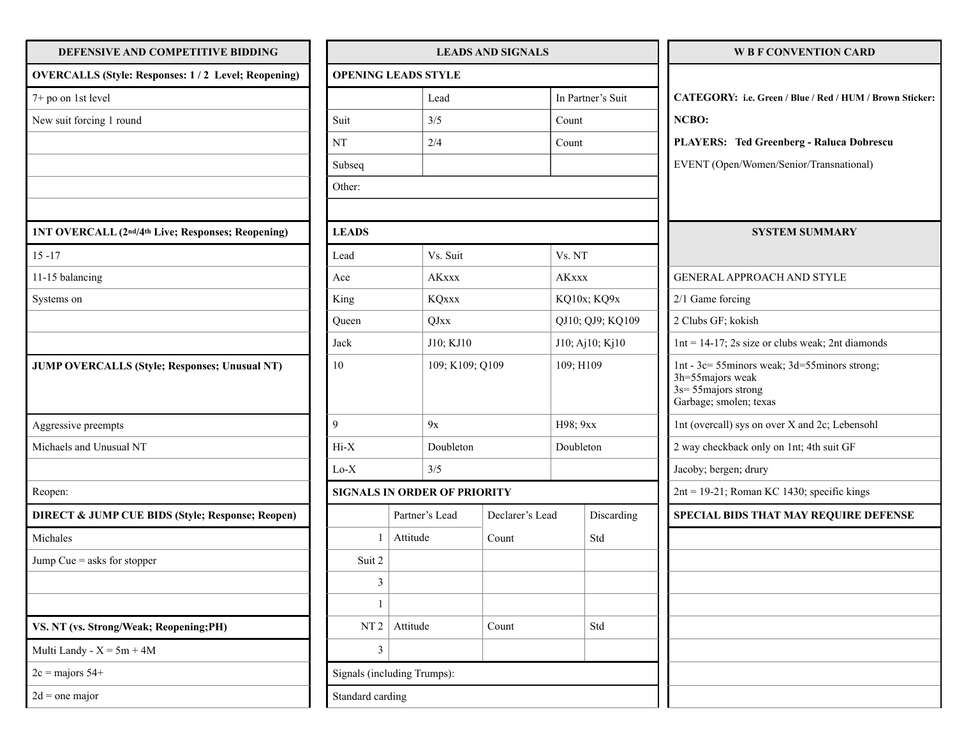| DEFENSIVE AND COMPETITIVE BIDDING                             | <b>LEADS AND SIGNALS</b>    |                                     |                 |                 |                  | <b>W B F CONVENTION CARD</b> |                                                                                                                       |
|---------------------------------------------------------------|-----------------------------|-------------------------------------|-----------------|-----------------|------------------|------------------------------|-----------------------------------------------------------------------------------------------------------------------|
| <b>OVERCALLS (Style: Responses: 1/2 Level; Reopening)</b>     | <b>OPENING LEADS STYLE</b>  |                                     |                 |                 |                  |                              |                                                                                                                       |
| 7+ po on 1st level                                            |                             |                                     | Lead            |                 |                  | In Partner's Suit            | CATEGORY: i.e. Green / Blue / Red / HUM / Brown Sticker:                                                              |
| New suit forcing 1 round                                      | Suit                        |                                     | 3/5             |                 | Count            |                              | NCBO:                                                                                                                 |
|                                                               | NT                          |                                     | 2/4             |                 | Count            |                              | PLAYERS: Ted Greenberg - Raluca Dobrescu                                                                              |
|                                                               | Subseq                      |                                     |                 |                 |                  |                              | EVENT (Open/Women/Senior/Transnational)                                                                               |
|                                                               | Other:                      |                                     |                 |                 |                  |                              |                                                                                                                       |
|                                                               |                             |                                     |                 |                 |                  |                              |                                                                                                                       |
| 1NT OVERCALL (2 <sup>nd/4th</sup> Live; Responses; Reopening) | <b>LEADS</b>                |                                     |                 |                 |                  |                              | <b>SYSTEM SUMMARY</b>                                                                                                 |
| $15 - 17$                                                     | Lead                        |                                     | Vs. Suit        |                 | Vs. NT           |                              |                                                                                                                       |
| 11-15 balancing                                               | Ace                         |                                     | <b>AKxxx</b>    |                 | <b>AKxxx</b>     |                              | GENERAL APPROACH AND STYLE                                                                                            |
| Systems on                                                    | King                        |                                     | <b>KQxxx</b>    |                 | KQ10x; KQ9x      |                              | $2/1$ Game forcing                                                                                                    |
|                                                               | Queen                       |                                     | QJxx            |                 | QJ10; QJ9; KQ109 |                              | 2 Clubs GF; kokish                                                                                                    |
|                                                               | Jack                        |                                     | J10; KJ10       |                 | J10; Aj10; Kj10  |                              | $1nt = 14-17$ ; 2s size or clubs weak; 2nt diamonds                                                                   |
| <b>JUMP OVERCALLS (Style; Responses; Unusual NT)</b>          | 10                          |                                     | 109; K109; Q109 |                 | 109; H109        |                              | 1nt - 3c= 55minors weak; 3d=55minors strong;<br>3h=55majors weak<br>$3s = 55$ majors strong<br>Garbage; smolen; texas |
| Aggressive preempts                                           | 9                           |                                     | 9x              |                 | H98; 9xx         |                              | 1nt (overcall) sys on over X and 2c; Lebensohl                                                                        |
| Michaels and Unusual NT                                       | $Hi-X$                      |                                     | Doubleton       |                 | Doubleton        |                              | 2 way checkback only on 1nt; 4th suit GF                                                                              |
|                                                               | $Lo-X$                      |                                     | 3/5             |                 |                  |                              | Jacoby; bergen; drury                                                                                                 |
| Reopen:                                                       |                             | <b>SIGNALS IN ORDER OF PRIORITY</b> |                 |                 |                  |                              | $2nt = 19-21$ ; Roman KC 1430; specific kings                                                                         |
| <b>DIRECT &amp; JUMP CUE BIDS (Style; Response; Reopen)</b>   |                             | Partner's Lead                      |                 | Declarer's Lead |                  | Discarding                   | SPECIAL BIDS THAT MAY REQUIRE DEFENSE                                                                                 |
| Michales                                                      |                             | Attitude                            |                 | Count           |                  | Std                          |                                                                                                                       |
| Jump Cue $=$ asks for stopper                                 | Suit 2                      |                                     |                 |                 |                  |                              |                                                                                                                       |
|                                                               | $\mathfrak{Z}$              |                                     |                 |                 |                  |                              |                                                                                                                       |
|                                                               |                             |                                     |                 |                 |                  |                              |                                                                                                                       |
| VS. NT (vs. Strong/Weak; Reopening;PH)                        | NT2                         | Attitude                            |                 | Count           |                  | Std                          |                                                                                                                       |
| Multi Landy - $X = 5m + 4M$                                   | 3                           |                                     |                 |                 |                  |                              |                                                                                                                       |
| $2c =$ majors $54+$                                           | Signals (including Trumps): |                                     |                 |                 |                  |                              |                                                                                                                       |
| $2d =$ one major                                              | Standard carding            |                                     |                 |                 |                  |                              |                                                                                                                       |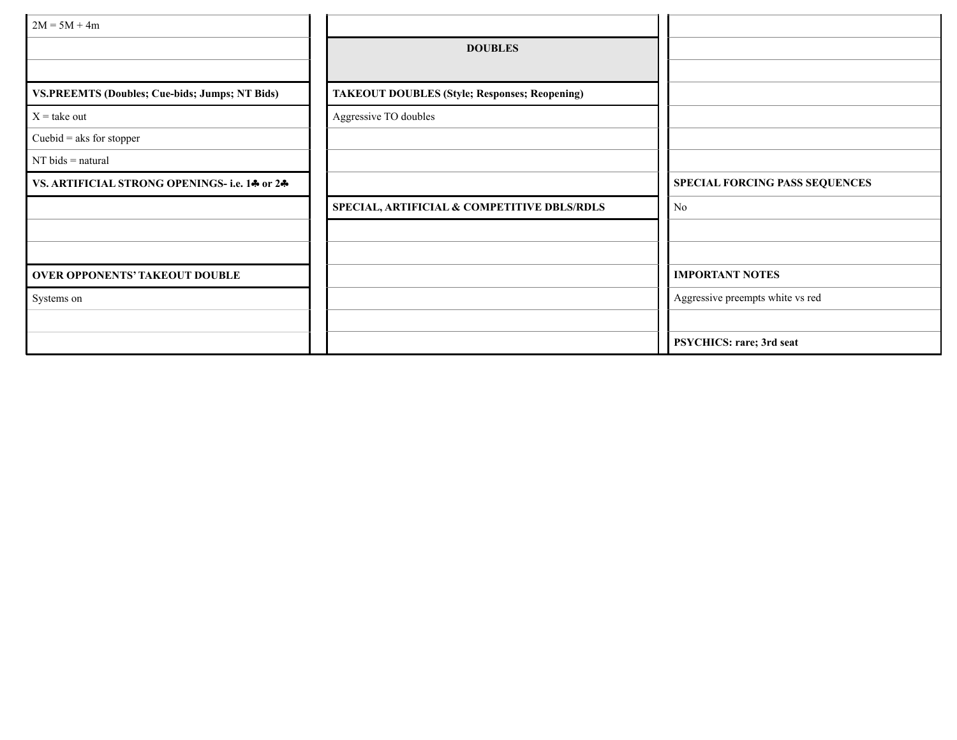| $2M = 5M + 4m$                                        |                                                      |                                  |
|-------------------------------------------------------|------------------------------------------------------|----------------------------------|
|                                                       | <b>DOUBLES</b>                                       |                                  |
|                                                       |                                                      |                                  |
| <b>VS.PREEMTS (Doubles; Cue-bids; Jumps; NT Bids)</b> | <b>TAKEOUT DOUBLES (Style; Responses; Reopening)</b> |                                  |
| $X =$ take out                                        | Aggressive TO doubles                                |                                  |
| Cuebid = aks for stopper                              |                                                      |                                  |
| $NT$ bids = natural                                   |                                                      |                                  |
| VS. ARTIFICIAL STRONG OPENINGS- i.e. 14 or 24         |                                                      | SPECIAL FORCING PASS SEQUENCES   |
|                                                       | SPECIAL, ARTIFICIAL & COMPETITIVE DBLS/RDLS          | No                               |
|                                                       |                                                      |                                  |
|                                                       |                                                      |                                  |
| <b>OVER OPPONENTS' TAKEOUT DOUBLE</b>                 |                                                      | <b>IMPORTANT NOTES</b>           |
| Systems on                                            |                                                      | Aggressive preempts white vs red |
|                                                       |                                                      |                                  |
|                                                       |                                                      | PSYCHICS: rare; 3rd seat         |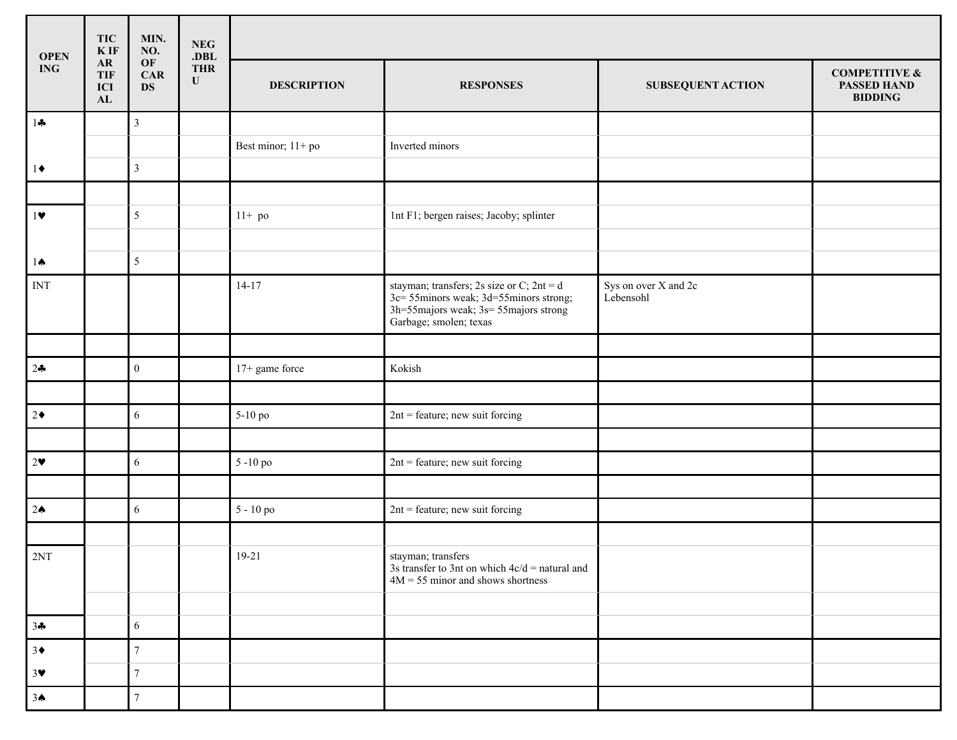| <b>OPEN</b>               | <b>TIC</b><br>$\mathbf K$ IF   | MIN.<br>NO.            | <b>NEG</b><br>. $DBL$   |                    |                                                                                                                                                          |                                   |                                                                  |
|---------------------------|--------------------------------|------------------------|-------------------------|--------------------|----------------------------------------------------------------------------------------------------------------------------------------------------------|-----------------------------------|------------------------------------------------------------------|
| $\mathbf{ING}\,$          | ${\bf AR}$<br>TIF<br>ICI<br>AL | OF<br>CAR<br><b>DS</b> | <b>THR</b><br>${\bf U}$ | <b>DESCRIPTION</b> | <b>RESPONSES</b>                                                                                                                                         | <b>SUBSEQUENT ACTION</b>          | <b>COMPETITIVE &amp;</b><br><b>PASSED HAND</b><br><b>BIDDING</b> |
| $1 -$                     |                                | $\mathbf{3}$           |                         |                    |                                                                                                                                                          |                                   |                                                                  |
|                           |                                |                        |                         | Best minor; 11+ po | Inverted minors                                                                                                                                          |                                   |                                                                  |
| $1\blacklozenge$          |                                | $\mathfrak{Z}$         |                         |                    |                                                                                                                                                          |                                   |                                                                  |
|                           |                                |                        |                         |                    |                                                                                                                                                          |                                   |                                                                  |
| 1                         |                                | $5\overline{)}$        |                         | $11+$ po           | 1nt F1; bergen raises; Jacoby; splinter                                                                                                                  |                                   |                                                                  |
|                           |                                |                        |                         |                    |                                                                                                                                                          |                                   |                                                                  |
| $1 \spadesuit$            |                                | $5\overline{)}$        |                         |                    |                                                                                                                                                          |                                   |                                                                  |
| $\ensuremath{\text{INT}}$ |                                |                        |                         | $14 - 17$          | stayman; transfers; 2s size or C; $2nt = d$<br>3c= 55minors weak; 3d=55minors strong;<br>3h=55majors weak; 3s= 55majors strong<br>Garbage; smolen; texas | Sys on over X and 2c<br>Lebensohl |                                                                  |
|                           |                                |                        |                         |                    |                                                                                                                                                          |                                   |                                                                  |
| $2 -$                     |                                | $\mathbf{0}$           |                         | 17+ game force     | Kokish                                                                                                                                                   |                                   |                                                                  |
|                           |                                |                        |                         |                    |                                                                                                                                                          |                                   |                                                                  |
| $ 2\bullet $              |                                | 6                      |                         | 5-10 po            | $2nt =$ feature; new suit forcing                                                                                                                        |                                   |                                                                  |
|                           |                                |                        |                         |                    |                                                                                                                                                          |                                   |                                                                  |
| $2\bullet$                |                                | 6                      |                         | 5-10 po            | $2nt =$ feature; new suit forcing                                                                                                                        |                                   |                                                                  |
|                           |                                |                        |                         |                    |                                                                                                                                                          |                                   |                                                                  |
| 2 <sub>0</sub>            |                                | 6                      |                         | 5 - 10 po          | $2nt =$ feature; new suit forcing                                                                                                                        |                                   |                                                                  |
|                           |                                |                        |                         |                    |                                                                                                                                                          |                                   |                                                                  |
| 2NT                       |                                |                        |                         | $19 - 21$          | stayman; transfers<br>3s transfer to 3nt on which $4c/d =$ natural and<br>$4M = 55$ minor and shows shortness                                            |                                   |                                                                  |
|                           |                                |                        |                         |                    |                                                                                                                                                          |                                   |                                                                  |
| $3 - 3$                   |                                | 6                      |                         |                    |                                                                                                                                                          |                                   |                                                                  |
| $3*$                      |                                | $7\phantom{.0}$        |                         |                    |                                                                                                                                                          |                                   |                                                                  |
| 3 <sup>4</sup>            |                                | $7\overline{ }$        |                         |                    |                                                                                                                                                          |                                   |                                                                  |
| $3^$                      |                                | $\tau$                 |                         |                    |                                                                                                                                                          |                                   |                                                                  |